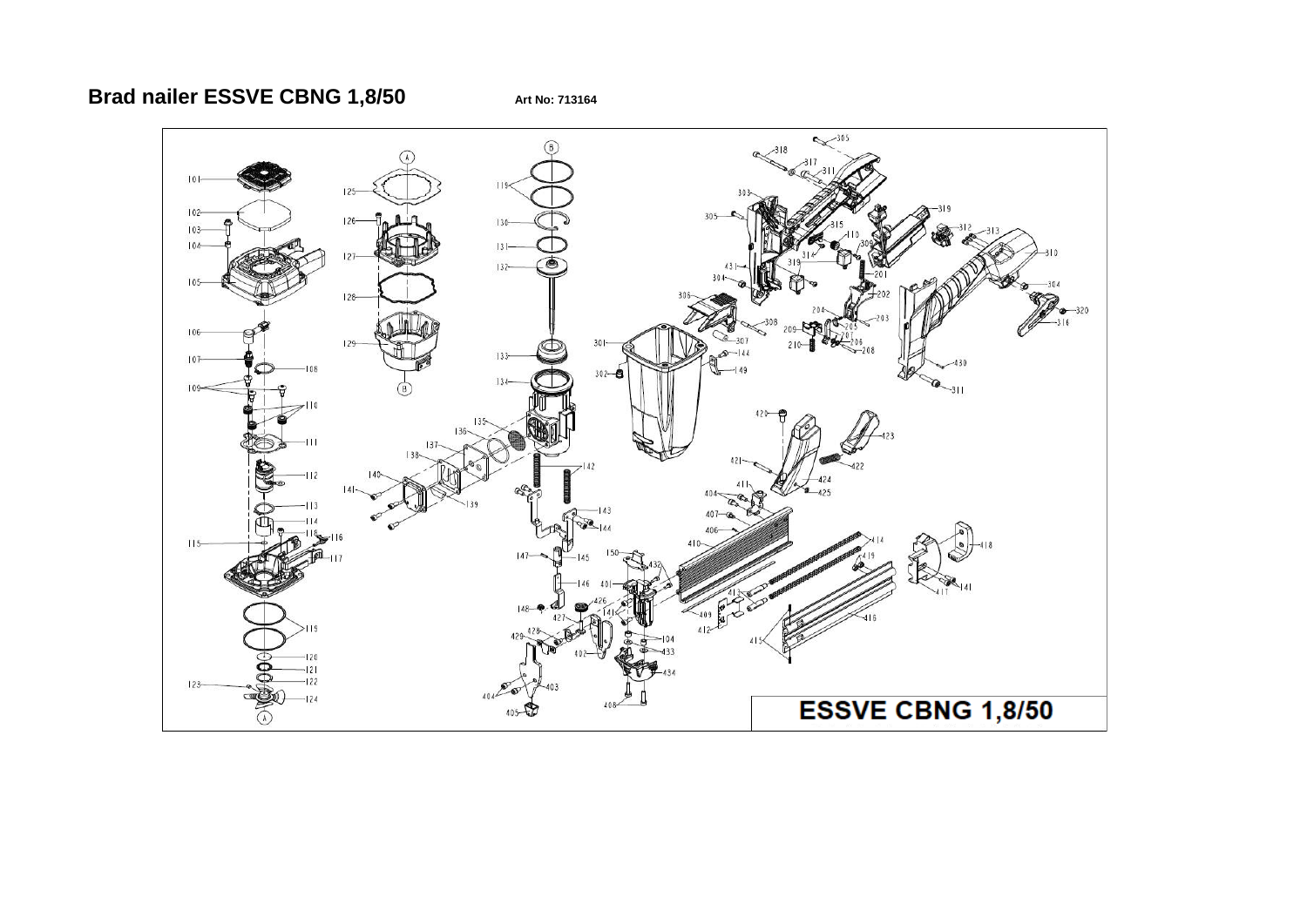## Brad nailer ESSVE CBNG 1,8/50

Art No: 713164